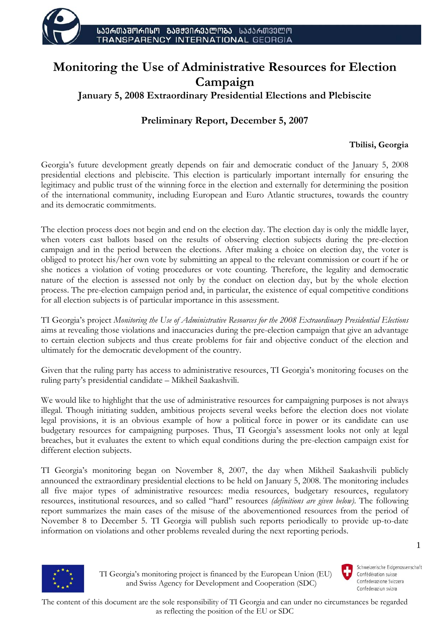

# **Monitoring the Use of Administrative Resources for Election Campaign**

**January 5, 2008 Extraordinary Presidential Elections and Plebiscite** 

# **Preliminary Report, December 5, 2007**

# **Tbilisi, Georgia**

Georgia's future development greatly depends on fair and democratic conduct of the January 5, 2008 presidential elections and plebiscite. This election is particularly important internally for ensuring the legitimacy and public trust of the winning force in the election and externally for determining the position of the international community, including European and Euro Atlantic structures, towards the country and its democratic commitments.

The election process does not begin and end on the election day. The election day is only the middle layer, when voters cast ballots based on the results of observing election subjects during the pre-election campaign and in the period between the elections. After making a choice on election day, the voter is obliged to protect his/her own vote by submitting an appeal to the relevant commission or court if he or she notices a violation of voting procedures or vote counting. Therefore, the legality and democratic nature of the election is assessed not only by the conduct on election day, but by the whole election process. The pre-election campaign period and, in particular, the existence of equal competitive conditions for all election subjects is of particular importance in this assessment.

TI Georgia's project *Monitoring the Use of Administrative Resources for the 2008 Extraordinary Presidential Elections* aims at revealing those violations and inaccuracies during the pre-election campaign that give an advantage to certain election subjects and thus create problems for fair and objective conduct of the election and ultimately for the democratic development of the country.

Given that the ruling party has access to administrative resources, TI Georgia's monitoring focuses on the ruling party's presidential candidate – Mikheil Saakashvili.

We would like to highlight that the use of administrative resources for campaigning purposes is not always illegal. Though initiating sudden, ambitious projects several weeks before the election does not violate legal provisions, it is an obvious example of how a political force in power or its candidate can use budgetary resources for campaigning purposes. Thus, TI Georgia's assessment looks not only at legal breaches, but it evaluates the extent to which equal conditions during the pre-election campaign exist for different election subjects.

TI Georgia's monitoring began on November 8, 2007, the day when Mikheil Saakashvili publicly announced the extraordinary presidential elections to be held on January 5, 2008. The monitoring includes all five major types of administrative resources: media resources, budgetary resources, regulatory resources, institutional resources, and so called "hard" resources *(definitions are given below)*. The following report summarizes the main cases of the misuse of the abovementioned resources from the period of November 8 to December 5. TI Georgia will publish such reports periodically to provide up-to-date information on violations and other problems revealed during the next reporting periods.



 TI Georgia's monitoring project is financed by the European Union (EU) and Swiss Agency for Development and Cooperation (SDC)

Schweizerische Eidgenossenschaft Confédération suisse Confederazione Svizzera Confederaziun svizra

1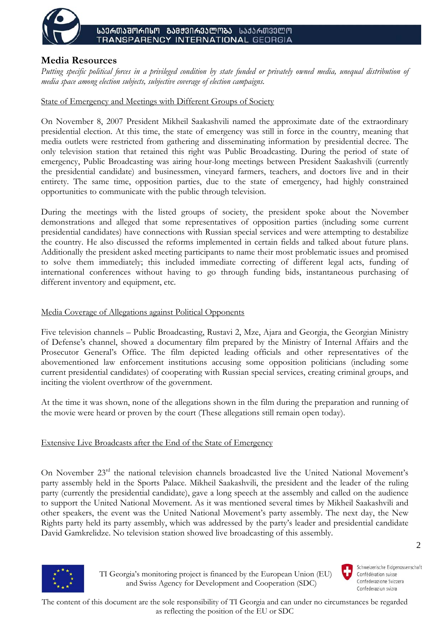

# **Media Resources**

*Putting specific political forces in a privileged condition by state funded or privately owned media, unequal distribution of media space among election subjects, subjective coverage of election campaigns.* 

## State of Emergency and Meetings with Different Groups of Society

On November 8, 2007 President Mikheil Saakashvili named the approximate date of the extraordinary presidential election. At this time, the state of emergency was still in force in the country, meaning that media outlets were restricted from gathering and disseminating information by presidential decree. The only television station that retained this right was Public Broadcasting. During the period of state of emergency, Public Broadcasting was airing hour-long meetings between President Saakashvili (currently the presidential candidate) and businessmen, vineyard farmers, teachers, and doctors live and in their entirety. The same time, opposition parties, due to the state of emergency, had highly constrained opportunities to communicate with the public through television.

During the meetings with the listed groups of society, the president spoke about the November demonstrations and alleged that some representatives of opposition parties (including some current presidential candidates) have connections with Russian special services and were attempting to destabilize the country. He also discussed the reforms implemented in certain fields and talked about future plans. Additionally the president asked meeting participants to name their most problematic issues and promised to solve them immediately; this included immediate correcting of different legal acts, funding of international conferences without having to go through funding bids, instantaneous purchasing of different inventory and equipment, etc.

### Media Coverage of Allegations against Political Opponents

Five television channels – Public Broadcasting, Rustavi 2, Mze, Ajara and Georgia, the Georgian Ministry of Defense's channel, showed a documentary film prepared by the Ministry of Internal Affairs and the Prosecutor General's Office. The film depicted leading officials and other representatives of the abovementioned law enforcement institutions accusing some opposition politicians (including some current presidential candidates) of cooperating with Russian special services, creating criminal groups, and inciting the violent overthrow of the government.

At the time it was shown, none of the allegations shown in the film during the preparation and running of the movie were heard or proven by the court (These allegations still remain open today).

### Extensive Live Broadcasts after the End of the State of Emergency

On November 23rd the national television channels broadcasted live the United National Movement's party assembly held in the Sports Palace. Mikheil Saakashvili, the president and the leader of the ruling party (currently the presidential candidate), gave a long speech at the assembly and called on the audience to support the United National Movement. As it was mentioned several times by Mikheil Saakashvili and other speakers, the event was the United National Movement's party assembly. The next day, the New Rights party held its party assembly, which was addressed by the party's leader and presidential candidate David Gamkrelidze. No television station showed live broadcasting of this assembly.



 TI Georgia's monitoring project is financed by the European Union (EU) and Swiss Agency for Development and Cooperation (SDC)



 $\mathcal{D}$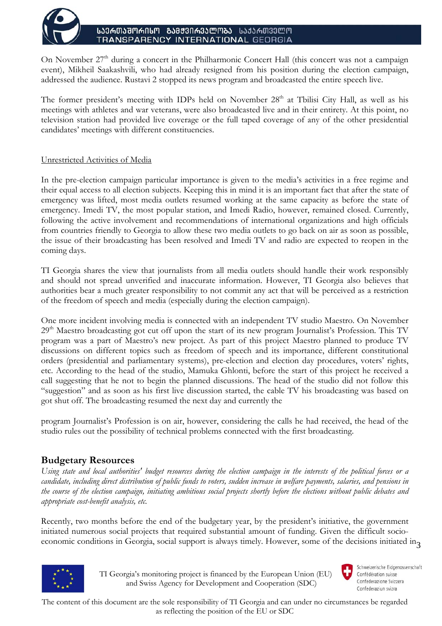

On November  $27<sup>th</sup>$  during a concert in the Philharmonic Concert Hall (this concert was not a campaign event), Mikheil Saakashvili, who had already resigned from his position during the election campaign, addressed the audience. Rustavi 2 stopped its news program and broadcasted the entire speech live.

The former president's meeting with IDPs held on November 28<sup>th</sup> at Tbilisi City Hall, as well as his meetings with athletes and war veterans, were also broadcasted live and in their entirety. At this point, no television station had provided live coverage or the full taped coverage of any of the other presidential candidates' meetings with different constituencies.

### Unrestricted Activities of Media

In the pre-election campaign particular importance is given to the media's activities in a free regime and their equal access to all election subjects. Keeping this in mind it is an important fact that after the state of emergency was lifted, most media outlets resumed working at the same capacity as before the state of emergency. Imedi TV, the most popular station, and Imedi Radio, however, remained closed. Currently, following the active involvement and recommendations of international organizations and high officials from countries friendly to Georgia to allow these two media outlets to go back on air as soon as possible, the issue of their broadcasting has been resolved and Imedi TV and radio are expected to reopen in the coming days.

TI Georgia shares the view that journalists from all media outlets should handle their work responsibly and should not spread unverified and inaccurate information. However, TI Georgia also believes that authorities bear a much greater responsibility to not commit any act that will be perceived as a restriction of the freedom of speech and media (especially during the election campaign).

One more incident involving media is connected with an independent TV studio Maestro. On November 29<sup>th</sup> Maestro broadcasting got cut off upon the start of its new program Journalist's Profession. This TV program was a part of Maestro's new project. As part of this project Maestro planned to produce TV discussions on different topics such as freedom of speech and its importance, different constitutional orders (presidential and parliamentary systems), pre-election and election day procedures, voters' rights, etc. According to the head of the studio, Mamuka Ghlonti, before the start of this project he received a call suggesting that he not to begin the planned discussions. The head of the studio did not follow this "suggestion" and as soon as his first live discussion started, the cable TV his broadcasting was based on got shut off. The broadcasting resumed the next day and currently the

program Journalist's Profession is on air, however, considering the calls he had received, the head of the studio rules out the possibility of technical problems connected with the first broadcasting.

# **Budgetary Resources**

*Using state and local authorities' budget resources during the election campaign in the interests of the political forces or a candidate, including direct distribution of public funds to voters, sudden increase in welfare payments, salaries, and pensions in the course of the election campaign, initiating ambitious social projects shortly before the elections without public debates and appropriate cost-benefit analysis, etc.* 

economic conditions in Georgia, social support is always timely. However, some of the decisions initiated in<sub>3</sub> Recently, two months before the end of the budgetary year, by the president's initiative, the government initiated numerous social projects that required substantial amount of funding. Given the difficult socio-



 TI Georgia's monitoring project is financed by the European Union (EU) and Swiss Agency for Development and Cooperation (SDC)

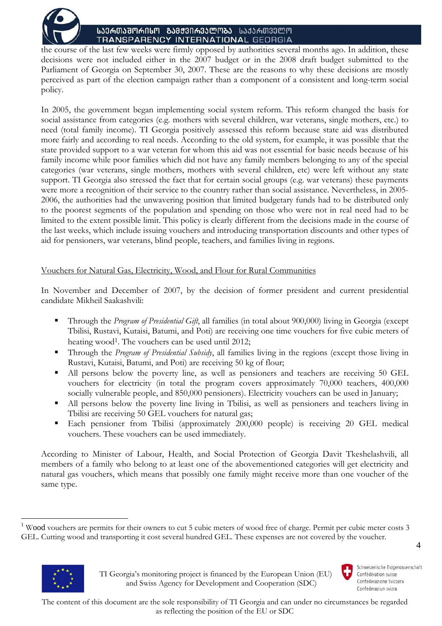

the course of the last few weeks were firmly opposed by authorities several months ago. In addition, these decisions were not included either in the 2007 budget or in the 2008 draft budget submitted to the Parliament of Georgia on September 30, 2007. These are the reasons to why these decisions are mostly perceived as part of the election campaign rather than a component of a consistent and long-term social policy.

In 2005, the government began implementing social system reform. This reform changed the basis for social assistance from categories (e.g. mothers with several children, war veterans, single mothers, etc.) to need (total family income). TI Georgia positively assessed this reform because state aid was distributed more fairly and according to real needs. According to the old system, for example, it was possible that the state provided support to a war veteran for whom this aid was not essential for basic needs because of his family income while poor families which did not have any family members belonging to any of the special categories (war veterans, single mothers, mothers with several children, etc) were left without any state support. TI Georgia also stressed the fact that for certain social groups (e.g. war veterans) these payments were more a recognition of their service to the country rather than social assistance. Nevertheless, in 2005- 2006, the authorities had the unwavering position that limited budgetary funds had to be distributed only to the poorest segments of the population and spending on those who were not in real need had to be limited to the extent possible limit. This policy is clearly different from the decisions made in the course of the last weeks, which include issuing vouchers and introducing transportation discounts and other types of aid for pensioners, war veterans, blind people, teachers, and families living in regions.

# Vouchers for Natural Gas, Electricity, Wood, and Flour for Rural Communities

In November and December of 2007, by the decision of former president and current presidential candidate Mikheil Saakashvili:

- Through the *Program of Presidential Gift*, all families (in total about 900,000) living in Georgia (except Tbilisi, Rustavi, Kutaisi, Batumi, and Poti) are receiving one time vouchers for five cubic meters of heating wood<sup>1</sup>. The vouchers can be used until 2012;
- Through the *Program of Presidential Subsidy*, all families living in the regions (except those living in Rustavi, Kutaisi, Batumi, and Poti) are receiving 50 kg of flour;
- All persons below the poverty line, as well as pensioners and teachers are receiving 50 GEL vouchers for electricity (in total the program covers approximately 70,000 teachers, 400,000 socially vulnerable people, and 850,000 pensioners). Electricity vouchers can be used in January;
- All persons below the poverty line living in Tbilisi, as well as pensioners and teachers living in Tbilisi are receiving 50 GEL vouchers for natural gas;
- Each pensioner from Tbilisi (approximately 200,000 people) is receiving 20 GEL medical vouchers. These vouchers can be used immediately.

According to Minister of Labour, Health, and Social Protection of Georgia Davit Tkeshelashvili, all members of a family who belong to at least one of the abovementioned categories will get electricity and natural gas vouchers, which means that possibly one family might receive more than one voucher of the same type.

 $1$  Wood vouchers are permits for their owners to cut 5 cubic meters of wood free of charge. Permit per cubic meter costs 3 GEL. Cutting wood and transporting it cost several hundred GEL. These expenses are not covered by the voucher.



 $\overline{a}$ 

4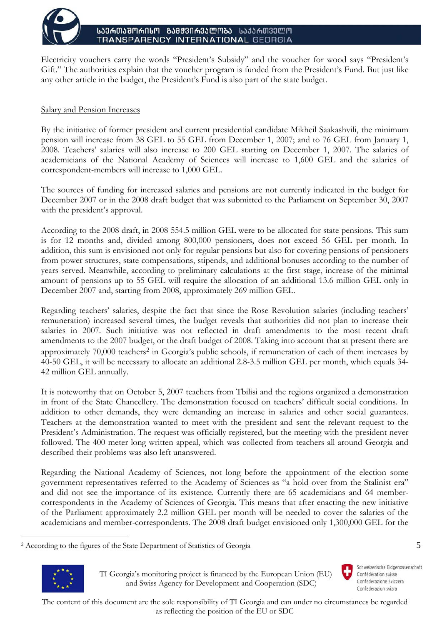

Electricity vouchers carry the words "President's Subsidy" and the voucher for wood says "President's Gift." The authorities explain that the voucher program is funded from the President's Fund. But just like any other article in the budget, the President's Fund is also part of the state budget.

### Salary and Pension Increases

By the initiative of former president and current presidential candidate Mikheil Saakashvili, the minimum pension will increase from 38 GEL to 55 GEL from December 1, 2007; and to 76 GEL from January 1, 2008. Teachers' salaries will also increase to 200 GEL starting on December 1, 2007. The salaries of academicians of the National Academy of Sciences will increase to 1,600 GEL and the salaries of correspondent-members will increase to 1,000 GEL.

The sources of funding for increased salaries and pensions are not currently indicated in the budget for December 2007 or in the 2008 draft budget that was submitted to the Parliament on September 30, 2007 with the president's approval.

According to the 2008 draft, in 2008 554.5 million GEL were to be allocated for state pensions. This sum is for 12 months and, divided among 800,000 pensioners, does not exceed 56 GEL per month. In addition, this sum is envisioned not only for regular pensions but also for covering pensions of pensioners from power structures, state compensations, stipends, and additional bonuses according to the number of years served. Meanwhile, according to preliminary calculations at the first stage, increase of the minimal amount of pensions up to 55 GEL will require the allocation of an additional 13.6 million GEL only in December 2007 and, starting from 2008, approximately 269 million GEL.

Regarding teachers' salaries, despite the fact that since the Rose Revolution salaries (including teachers' remuneration) increased several times, the budget reveals that authorities did not plan to increase their salaries in 2007. Such initiative was not reflected in draft amendments to the most recent draft amendments to the 2007 budget, or the draft budget of 2008. Taking into account that at present there are approximately 70,000 teachers2 in Georgia's public schools, if remuneration of each of them increases by 40-50 GEL, it will be necessary to allocate an additional 2.8-3.5 million GEL per month, which equals 34- 42 million GEL annually.

It is noteworthy that on October 5, 2007 teachers from Tbilisi and the regions organized a demonstration in front of the State Chancellery. The demonstration focused on teachers' difficult social conditions. In addition to other demands, they were demanding an increase in salaries and other social guarantees. Teachers at the demonstration wanted to meet with the president and sent the relevant request to the President's Administration. The request was officially registered, but the meeting with the president never followed. The 400 meter long written appeal, which was collected from teachers all around Georgia and described their problems was also left unanswered.

Regarding the National Academy of Sciences, not long before the appointment of the election some government representatives referred to the Academy of Sciences as "a hold over from the Stalinist era" and did not see the importance of its existence. Currently there are 65 academicians and 64 membercorrespondents in the Academy of Sciences of Georgia. This means that after enacting the new initiative of the Parliament approximately 2.2 million GEL per month will be needed to cover the salaries of the academicians and member-correspondents. The 2008 draft budget envisioned only 1,300,000 GEL for the

<sup>2</sup> According to the figures of the State Department of Statistics of Georgia



 $\overline{a}$ 

 TI Georgia's monitoring project is financed by the European Union (EU) and Swiss Agency for Development and Cooperation (SDC)

Schweizerische Eidgenossenschaft Confédération suisse Confederazione Svizzera Confederaziun svizra

5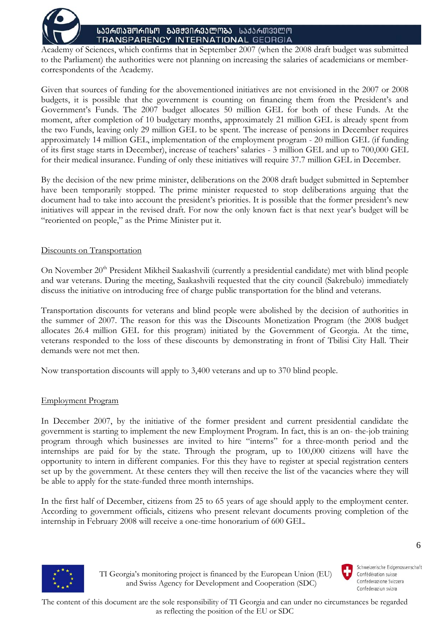

Academy of Sciences, which confirms that in September 2007 (when the 2008 draft budget was submitted to the Parliament) the authorities were not planning on increasing the salaries of academicians or membercorrespondents of the Academy.

Given that sources of funding for the abovementioned initiatives are not envisioned in the 2007 or 2008 budgets, it is possible that the government is counting on financing them from the President's and Government's Funds. The 2007 budget allocates 50 million GEL for both of these Funds. At the moment, after completion of 10 budgetary months, approximately 21 million GEL is already spent from the two Funds, leaving only 29 million GEL to be spent. The increase of pensions in December requires approximately 14 million GEL, implementation of the employment program - 20 million GEL (if funding of its first stage starts in December), increase of teachers' salaries - 3 million GEL and up to 700,000 GEL for their medical insurance. Funding of only these initiatives will require 37.7 million GEL in December.

By the decision of the new prime minister, deliberations on the 2008 draft budget submitted in September have been temporarily stopped. The prime minister requested to stop deliberations arguing that the document had to take into account the president's priorities. It is possible that the former president's new initiatives will appear in the revised draft. For now the only known fact is that next year's budget will be "reoriented on people," as the Prime Minister put it.

### Discounts on Transportation

On November 20<sup>th</sup> President Mikheil Saakashvili (currently a presidential candidate) met with blind people and war veterans. During the meeting, Saakashvili requested that the city council (Sakrebulo) immediately discuss the initiative on introducing free of charge public transportation for the blind and veterans.

Transportation discounts for veterans and blind people were abolished by the decision of authorities in the summer of 2007. The reason for this was the Discounts Monetization Program (the 2008 budget allocates 26.4 million GEL for this program) initiated by the Government of Georgia. At the time, veterans responded to the loss of these discounts by demonstrating in front of Tbilisi City Hall. Their demands were not met then.

Now transportation discounts will apply to 3,400 veterans and up to 370 blind people.

### Employment Program

In December 2007, by the initiative of the former president and current presidential candidate the government is starting to implement the new Employment Program. In fact, this is an on- the-job training program through which businesses are invited to hire "interns" for a three-month period and the internships are paid for by the state. Through the program, up to 100,000 citizens will have the opportunity to intern in different companies. For this they have to register at special registration centers set up by the government. At these centers they will then receive the list of the vacancies where they will be able to apply for the state-funded three month internships.

In the first half of December, citizens from 25 to 65 years of age should apply to the employment center. According to government officials, citizens who present relevant documents proving completion of the internship in February 2008 will receive a one-time honorarium of 600 GEL.



Schweizerische Eidgenossenschaft Confédération suisse Confederazione Svizzera Confederaziun svizra

6



 TI Georgia's monitoring project is financed by the European Union (EU) and Swiss Agency for Development and Cooperation (SDC)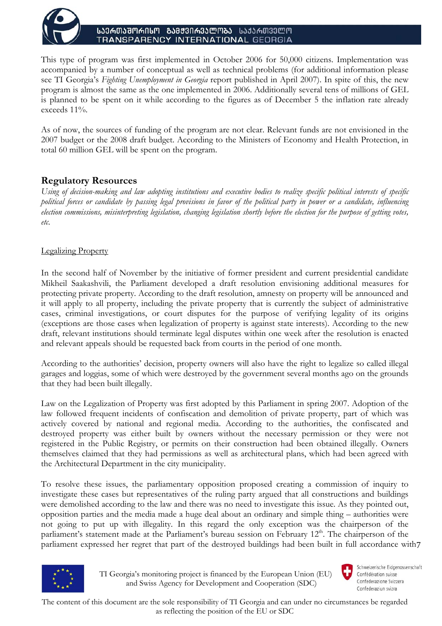

This type of program was first implemented in October 2006 for 50,000 citizens. Implementation was accompanied by a number of conceptual as well as technical problems (for additional information please see TI Georgia's *Fighting Unemployment in Georgia* report published in April 2007). In spite of this, the new program is almost the same as the one implemented in 2006. Additionally several tens of millions of GEL is planned to be spent on it while according to the figures as of December 5 the inflation rate already exceeds 11%.

As of now, the sources of funding of the program are not clear. Relevant funds are not envisioned in the 2007 budget or the 2008 draft budget. According to the Ministers of Economy and Health Protection, in total 60 million GEL will be spent on the program.

# **Regulatory Resources**

*Using of decision-making and law adopting institutions and executive bodies to realize specific political interests of specific political forces or candidate by passing legal provisions in favor of the political party in power or a candidate, influencing election commissions, misinterpreting legislation, changing legislation shortly before the election for the purpose of getting votes, etc.* 

# Legalizing Property

In the second half of November by the initiative of former president and current presidential candidate Mikheil Saakashvili, the Parliament developed a draft resolution envisioning additional measures for protecting private property. According to the draft resolution, amnesty on property will be announced and it will apply to all property, including the private property that is currently the subject of administrative cases, criminal investigations, or court disputes for the purpose of verifying legality of its origins (exceptions are those cases when legalization of property is against state interests). According to the new draft, relevant institutions should terminate legal disputes within one week after the resolution is enacted and relevant appeals should be requested back from courts in the period of one month.

According to the authorities' decision, property owners will also have the right to legalize so called illegal garages and loggias, some of which were destroyed by the government several months ago on the grounds that they had been built illegally.

Law on the Legalization of Property was first adopted by this Parliament in spring 2007. Adoption of the law followed frequent incidents of confiscation and demolition of private property, part of which was actively covered by national and regional media. According to the authorities, the confiscated and destroyed property was either built by owners without the necessary permission or they were not registered in the Public Registry, or permits on their construction had been obtained illegally. Owners themselves claimed that they had permissions as well as architectural plans, which had been agreed with the Architectural Department in the city municipality.

parliament expressed her regret that part of the destroyed buildings had been built in full accordance with7 To resolve these issues, the parliamentary opposition proposed creating a commission of inquiry to investigate these cases but representatives of the ruling party argued that all constructions and buildings were demolished according to the law and there was no need to investigate this issue. As they pointed out, opposition parties and the media made a huge deal about an ordinary and simple thing – authorities were not going to put up with illegality. In this regard the only exception was the chairperson of the parliament's statement made at the Parliament's bureau session on February 12<sup>th</sup>. The chairperson of the



 TI Georgia's monitoring project is financed by the European Union (EU) and Swiss Agency for Development and Cooperation (SDC)



Schweizerische Eidgenossenschaft Confédération suisse Confederazione Svizzera Confederaziun svizra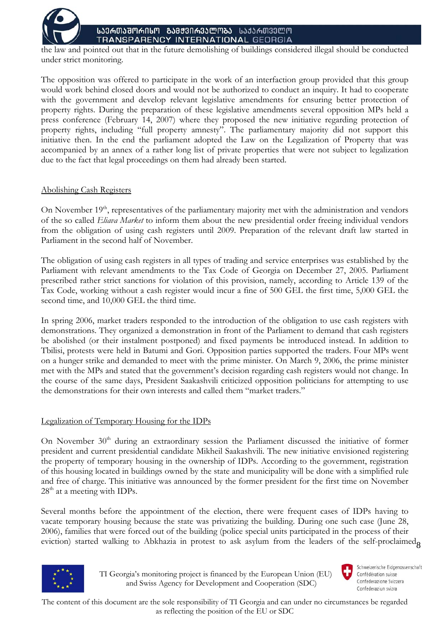

the law and pointed out that in the future demolishing of buildings considered illegal should be conducted under strict monitoring.

The opposition was offered to participate in the work of an interfaction group provided that this group would work behind closed doors and would not be authorized to conduct an inquiry. It had to cooperate with the government and develop relevant legislative amendments for ensuring better protection of property rights. During the preparation of these legislative amendments several opposition MPs held a press conference (February 14, 2007) where they proposed the new initiative regarding protection of property rights, including "full property amnesty". The parliamentary majority did not support this initiative then. In the end the parliament adopted the Law on the Legalization of Property that was accompanied by an annex of a rather long list of private properties that were not subject to legalization due to the fact that legal proceedings on them had already been started.

### Abolishing Cash Registers

On November 19<sup>th</sup>, representatives of the parliamentary majority met with the administration and vendors of the so called *Eliava Market* to inform them about the new presidential order freeing individual vendors from the obligation of using cash registers until 2009. Preparation of the relevant draft law started in Parliament in the second half of November.

The obligation of using cash registers in all types of trading and service enterprises was established by the Parliament with relevant amendments to the Tax Code of Georgia on December 27, 2005. Parliament prescribed rather strict sanctions for violation of this provision, namely, according to Article 139 of the Tax Code, working without a cash register would incur a fine of 500 GEL the first time, 5,000 GEL the second time, and 10,000 GEL the third time.

In spring 2006, market traders responded to the introduction of the obligation to use cash registers with demonstrations. They organized a demonstration in front of the Parliament to demand that cash registers be abolished (or their instalment postponed) and fixed payments be introduced instead. In addition to Tbilisi, protests were held in Batumi and Gori. Opposition parties supported the traders. Four MPs went on a hunger strike and demanded to meet with the prime minister. On March 9, 2006, the prime minister met with the MPs and stated that the government's decision regarding cash registers would not change. In the course of the same days, President Saakashvili criticized opposition politicians for attempting to use the demonstrations for their own interests and called them "market traders."

# Legalization of Temporary Housing for the IDPs

On November 30<sup>th</sup> during an extraordinary session the Parliament discussed the initiative of former president and current presidential candidate Mikheil Saakashvili. The new initiative envisioned registering the property of temporary housing in the ownership of IDPs. According to the government, registration of this housing located in buildings owned by the state and municipality will be done with a simplified rule and free of charge. This initiative was announced by the former president for the first time on November 28<sup>th</sup> at a meeting with IDPs.

eviction) started walking to Abkhazia in protest to ask asylum from the leaders of the self-proclaimed<sub>8</sub> Several months before the appointment of the election, there were frequent cases of IDPs having to vacate temporary housing because the state was privatizing the building. During one such case (June 28, 2006), families that were forced out of the building (police special units participated in the process of their



 TI Georgia's monitoring project is financed by the European Union (EU) and Swiss Agency for Development and Cooperation (SDC)

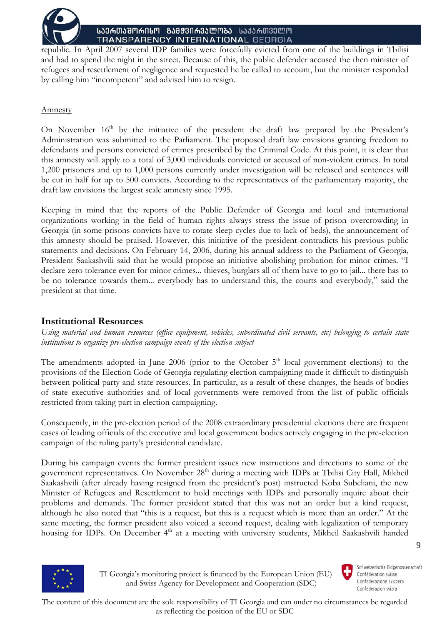

republic. In April 2007 several IDP families were forcefully evicted from one of the buildings in Tbilisi and had to spend the night in the street. Because of this, the public defender accused the then minister of refugees and resettlement of negligence and requested he be called to account, but the minister responded by calling him "incompetent" and advised him to resign.

## Amnesty

On November  $16<sup>th</sup>$  by the initiative of the president the draft law prepared by the President's Administration was submitted to the Parliament. The proposed draft law envisions granting freedom to defendants and persons convicted of crimes prescribed by the Criminal Code. At this point, it is clear that this amnesty will apply to a total of 3,000 individuals convicted or accused of non-violent crimes. In total 1,200 prisoners and up to 1,000 persons currently under investigation will be released and sentences will be cut in half for up to 500 convicts. According to the representatives of the parliamentary majority, the draft law envisions the largest scale amnesty since 1995.

Keeping in mind that the reports of the Public Defender of Georgia and local and international organizations working in the field of human rights always stress the issue of prison overcrowding in Georgia (in some prisons convicts have to rotate sleep cycles due to lack of beds), the announcement of this amnesty should be praised. However, this initiative of the president contradicts his previous public statements and decisions. On February 14, 2006, during his annual address to the Parliament of Georgia, President Saakashvili said that he would propose an initiative abolishing probation for minor crimes. "I declare zero tolerance even for minor crimes... thieves, burglars all of them have to go to jail... there has to be no tolerance towards them... everybody has to understand this, the courts and everybody," said the president at that time.

# **Institutional Resources**

*Using material and human resources (office equipment, vehicles, subordinated civil servants, etc) belonging to certain state institutions to organize pre-election campaign events of the election subject* 

The amendments adopted in June 2006 (prior to the October  $5<sup>th</sup>$  local government elections) to the provisions of the Election Code of Georgia regulating election campaigning made it difficult to distinguish between political party and state resources. In particular, as a result of these changes, the heads of bodies of state executive authorities and of local governments were removed from the list of public officials restricted from taking part in election campaigning.

Consequently, in the pre-election period of the 2008 extraordinary presidential elections there are frequent cases of leading officials of the executive and local government bodies actively engaging in the pre-election campaign of the ruling party's presidential candidate.

During his campaign events the former president issues new instructions and directions to some of the government representatives. On November 28<sup>th</sup> during a meeting with IDPs at Tbilisi City Hall, Mikheil Saakashvili (after already having resigned from the president's post) instructed Koba Subeliani, the new Minister of Refugees and Resettlement to hold meetings with IDPs and personally inquire about their problems and demands. The former president stated that this was not an order but a kind request, although he also noted that "this is a request, but this is a request which is more than an order." At the same meeting, the former president also voiced a second request, dealing with legalization of temporary housing for IDPs. On December 4<sup>th</sup> at a meeting with university students, Mikheil Saakashvili handed



 TI Georgia's monitoring project is financed by the European Union (EU) and Swiss Agency for Development and Cooperation (SDC)



Schweizerische Eidgenossenschaft Confédération suisse Confederazione Svizzera Confederaziun svizra

9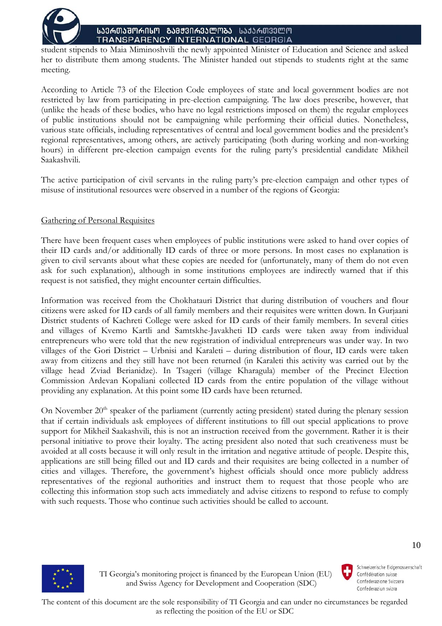

student stipends to Maia Miminoshvili the newly appointed Minister of Education and Science and asked her to distribute them among students. The Minister handed out stipends to students right at the same meeting.

According to Article 73 of the Election Code employees of state and local government bodies are not restricted by law from participating in pre-election campaigning. The law does prescribe, however, that (unlike the heads of these bodies, who have no legal restrictions imposed on them) the regular employees of public institutions should not be campaigning while performing their official duties. Nonetheless, various state officials, including representatives of central and local government bodies and the president's regional representatives, among others, are actively participating (both during working and non-working hours) in different pre-election campaign events for the ruling party's presidential candidate Mikheil Saakashvili.

The active participation of civil servants in the ruling party's pre-election campaign and other types of misuse of institutional resources were observed in a number of the regions of Georgia:

# Gathering of Personal Requisites

There have been frequent cases when employees of public institutions were asked to hand over copies of their ID cards and/or additionally ID cards of three or more persons. In most cases no explanation is given to civil servants about what these copies are needed for (unfortunately, many of them do not even ask for such explanation), although in some institutions employees are indirectly warned that if this request is not satisfied, they might encounter certain difficulties.

Information was received from the Chokhatauri District that during distribution of vouchers and flour citizens were asked for ID cards of all family members and their requisites were written down. In Gurjaani District students of Kachreti College were asked for ID cards of their family members. In several cities and villages of Kvemo Kartli and Samtskhe-Javakheti ID cards were taken away from individual entrepreneurs who were told that the new registration of individual entrepreneurs was under way. In two villages of the Gori District – Urbnisi and Karaleti – during distribution of flour, ID cards were taken away from citizens and they still have not been returned (in Karaleti this activity was carried out by the village head Zviad Berianidze). In Tsageri (village Kharagula) member of the Precinct Election Commission Ardevan Kopaliani collected ID cards from the entire population of the village without providing any explanation. At this point some ID cards have been returned.

On November 20<sup>th</sup> speaker of the parliament (currently acting president) stated during the plenary session that if certain individuals ask employees of different institutions to fill out special applications to prove support for Mikheil Saakashvili, this is not an instruction received from the government. Rather it is their personal initiative to prove their loyalty. The acting president also noted that such creativeness must be avoided at all costs because it will only result in the irritation and negative attitude of people. Despite this, applications are still being filled out and ID cards and their requisites are being collected in a number of cities and villages. Therefore, the government's highest officials should once more publicly address representatives of the regional authorities and instruct them to request that those people who are collecting this information stop such acts immediately and advise citizens to respond to refuse to comply with such requests. Those who continue such activities should be called to account.



 TI Georgia's monitoring project is financed by the European Union (EU) and Swiss Agency for Development and Cooperation (SDC)

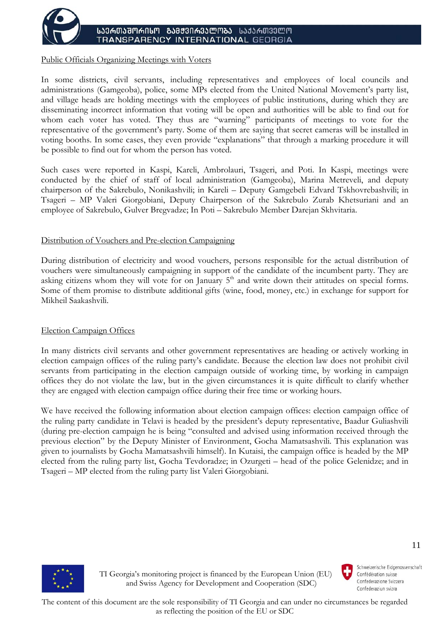

#### Public Officials Organizing Meetings with Voters

In some districts, civil servants, including representatives and employees of local councils and administrations (Gamgeoba), police, some MPs elected from the United National Movement's party list, and village heads are holding meetings with the employees of public institutions, during which they are disseminating incorrect information that voting will be open and authorities will be able to find out for whom each voter has voted. They thus are "warning" participants of meetings to vote for the representative of the government's party. Some of them are saying that secret cameras will be installed in voting booths. In some cases, they even provide "explanations" that through a marking procedure it will be possible to find out for whom the person has voted.

Such cases were reported in Kaspi, Kareli, Ambrolauri, Tsageri, and Poti. In Kaspi, meetings were conducted by the chief of staff of local administration (Gamgeoba), Marina Metreveli, and deputy chairperson of the Sakrebulo, Nonikashvili; in Kareli – Deputy Gamgebeli Edvard Tskhovrebashvili; in Tsageri – MP Valeri Giorgobiani, Deputy Chairperson of the Sakrebulo Zurab Khetsuriani and an employee of Sakrebulo, Gulver Bregvadze; In Poti – Sakrebulo Member Darejan Skhvitaria.

### Distribution of Vouchers and Pre-election Campaigning

During distribution of electricity and wood vouchers, persons responsible for the actual distribution of vouchers were simultaneously campaigning in support of the candidate of the incumbent party. They are asking citizens whom they will vote for on January  $5<sup>th</sup>$  and write down their attitudes on special forms. Some of them promise to distribute additional gifts (wine, food, money, etc.) in exchange for support for Mikheil Saakashvili.

### Election Campaign Offices

In many districts civil servants and other government representatives are heading or actively working in election campaign offices of the ruling party's candidate. Because the election law does not prohibit civil servants from participating in the election campaign outside of working time, by working in campaign offices they do not violate the law, but in the given circumstances it is quite difficult to clarify whether they are engaged with election campaign office during their free time or working hours.

We have received the following information about election campaign offices: election campaign office of the ruling party candidate in Telavi is headed by the president's deputy representative, Baadur Guliashvili (during pre-election campaign he is being "consulted and advised using information received through the previous election" by the Deputy Minister of Environment, Gocha Mamatsashvili. This explanation was given to journalists by Gocha Mamatsashvili himself). In Kutaisi, the campaign office is headed by the MP elected from the ruling party list, Gocha Tevdoradze; in Ozurgeti – head of the police Gelenidze; and in Tsageri – MP elected from the ruling party list Valeri Giorgobiani.



 TI Georgia's monitoring project is financed by the European Union (EU) and Swiss Agency for Development and Cooperation (SDC)

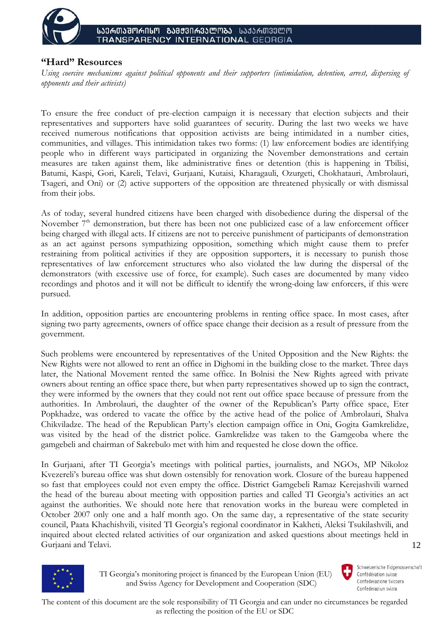

# **"Hard" Resources**

*Using coercive mechanisms against political opponents and their supporters (intimidation, detention, arrest, dispersing of opponents and their activists)* 

To ensure the free conduct of pre-election campaign it is necessary that election subjects and their representatives and supporters have solid guarantees of security. During the last two weeks we have received numerous notifications that opposition activists are being intimidated in a number cities, communities, and villages. This intimidation takes two forms: (1) law enforcement bodies are identifying people who in different ways participated in organizing the November demonstrations and certain measures are taken against them, like administrative fines or detention (this is happening in Tbilisi, Batumi, Kaspi, Gori, Kareli, Telavi, Gurjaani, Kutaisi, Kharagauli, Ozurgeti, Chokhatauri, Ambrolauri, Tsageri, and Oni) or (2) active supporters of the opposition are threatened physically or with dismissal from their jobs.

As of today, several hundred citizens have been charged with disobedience during the dispersal of the November 7<sup>th</sup> demonstration, but there has been not one publicized case of a law enforcement officer being charged with illegal acts. If citizens are not to perceive punishment of participants of demonstration as an act against persons sympathizing opposition, something which might cause them to prefer restraining from political activities if they are opposition supporters, it is necessary to punish those representatives of law enforcement structures who also violated the law during the dispersal of the demonstrators (with excessive use of force, for example). Such cases are documented by many video recordings and photos and it will not be difficult to identify the wrong-doing law enforcers, if this were pursued.

In addition, opposition parties are encountering problems in renting office space. In most cases, after signing two party agreements, owners of office space change their decision as a result of pressure from the government.

Such problems were encountered by representatives of the United Opposition and the New Rights: the New Rights were not allowed to rent an office in Dighomi in the building close to the market. Three days later, the National Movement rented the same office. In Bolnisi the New Rights agreed with private owners about renting an office space there, but when party representatives showed up to sign the contract, they were informed by the owners that they could not rent out office space because of pressure from the authorities. In Ambrolauri, the daughter of the owner of the Republican's Party office space, Eter Popkhadze, was ordered to vacate the office by the active head of the police of Ambrolauri, Shalva Chikviladze. The head of the Republican Party's election campaign office in Oni, Gogita Gamkrelidze, was visited by the head of the district police. Gamkrelidze was taken to the Gamgeoba where the gamgebeli and chairman of Sakrebulo met with him and requested he close down the office.

12 In Gurjaani, after TI Georgia's meetings with political parties, journalists, and NGOs, MP Nikoloz Kvezereli's bureau office was shut down ostensibly for renovation work. Closure of the bureau happened so fast that employees could not even empty the office. District Gamgebeli Ramaz Kerejashvili warned the head of the bureau about meeting with opposition parties and called TI Georgia's activities an act against the authorities. We should note here that renovation works in the bureau were completed in October 2007 only one and a half month ago. On the same day, a representative of the state security council, Paata Khachishvili, visited TI Georgia's regional coordinator in Kakheti, Aleksi Tsukilashvili, and inquired about elected related activities of our organization and asked questions about meetings held in Gurjaani and Telavi.



 TI Georgia's monitoring project is financed by the European Union (EU) and Swiss Agency for Development and Cooperation (SDC)